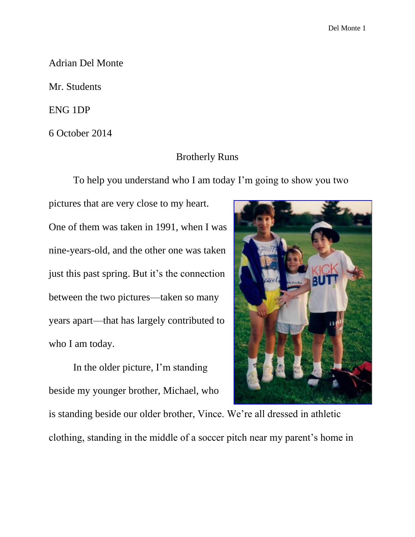Adrian Del Monte

Mr. Students

ENG 1DP

6 October 2014

## Brotherly Runs

To help you understand who I am today I'm going to show you two

pictures that are very close to my heart. One of them was taken in 1991, when I was nine-years-old, and the other one was taken just this past spring. But it's the connection between the two pictures—taken so many years apart—that has largely contributed to who I am today.

In the older picture, I'm standing beside my younger brother, Michael, who



is standing beside our older brother, Vince. We're all dressed in athletic clothing, standing in the middle of a soccer pitch near my parent's home in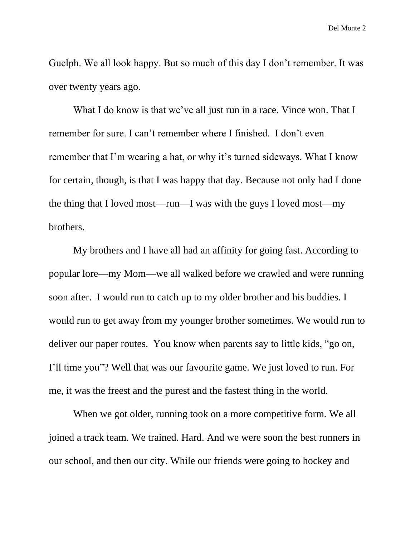Del Monte 2

Guelph. We all look happy. But so much of this day I don't remember. It was over twenty years ago.

What I do know is that we've all just run in a race. Vince won. That I remember for sure. I can't remember where I finished. I don't even remember that I'm wearing a hat, or why it's turned sideways. What I know for certain, though, is that I was happy that day. Because not only had I done the thing that I loved most—run—I was with the guys I loved most—my brothers.

My brothers and I have all had an affinity for going fast. According to popular lore—my Mom—we all walked before we crawled and were running soon after. I would run to catch up to my older brother and his buddies. I would run to get away from my younger brother sometimes. We would run to deliver our paper routes. You know when parents say to little kids, "go on, I'll time you"? Well that was our favourite game. We just loved to run. For me, it was the freest and the purest and the fastest thing in the world.

When we got older, running took on a more competitive form. We all joined a track team. We trained. Hard. And we were soon the best runners in our school, and then our city. While our friends were going to hockey and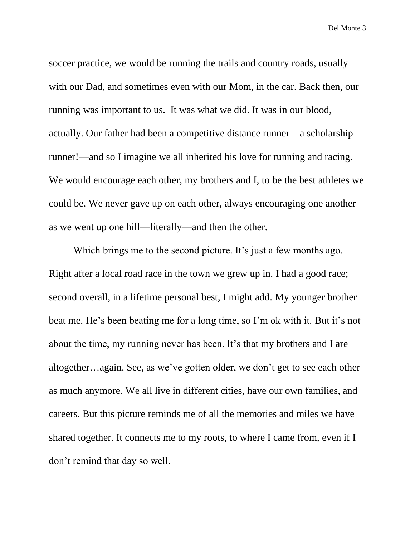Del Monte 3

soccer practice, we would be running the trails and country roads, usually with our Dad, and sometimes even with our Mom, in the car. Back then, our running was important to us. It was what we did. It was in our blood, actually. Our father had been a competitive distance runner—a scholarship runner!—and so I imagine we all inherited his love for running and racing. We would encourage each other, my brothers and I, to be the best athletes we could be. We never gave up on each other, always encouraging one another as we went up one hill—literally—and then the other.

Which brings me to the second picture. It's just a few months ago. Right after a local road race in the town we grew up in. I had a good race; second overall, in a lifetime personal best, I might add. My younger brother beat me. He's been beating me for a long time, so I'm ok with it. But it's not about the time, my running never has been. It's that my brothers and I are altogether…again. See, as we've gotten older, we don't get to see each other as much anymore. We all live in different cities, have our own families, and careers. But this picture reminds me of all the memories and miles we have shared together. It connects me to my roots, to where I came from, even if I don't remind that day so well.